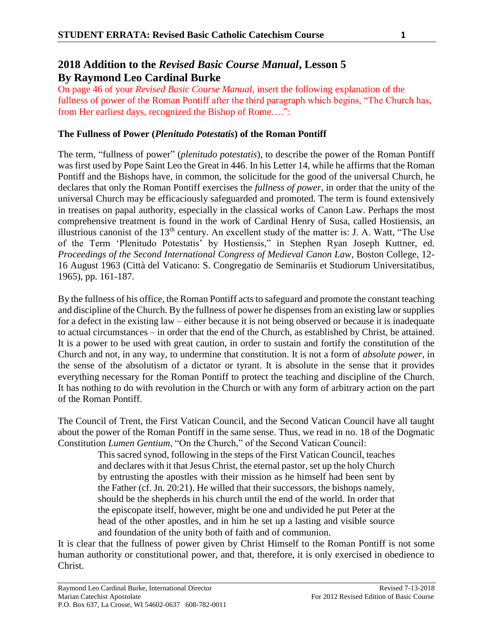## **2018 Addition to the** *Revised Basic Course Manual***, Lesson 5 By Raymond Leo Cardinal Burke**

On page 46 of your *Revised Basic Course Manual*, insert the following explanation of the fullness of power of the Roman Pontiff after the third paragraph which begins, "The Church has, from Her earliest days, recognized the Bishop of Rome….":

## **The Fullness of Power (***Plenitudo Potestatis***) of the Roman Pontiff**

The term, "fullness of power" (*plenitudo potestatis*), to describe the power of the Roman Pontiff was first used by Pope Saint Leo the Great in 446. In his Letter 14, while he affirms that the Roman Pontiff and the Bishops have, in common, the solicitude for the good of the universal Church, he declares that only the Roman Pontiff exercises the *fullness of power*, in order that the unity of the universal Church may be efficaciously safeguarded and promoted. The term is found extensively in treatises on papal authority, especially in the classical works of Canon Law. Perhaps the most comprehensive treatment is found in the work of Cardinal Henry of Susa, called Hostiensis, an illustrious canonist of the 13th century. An excellent study of the matter is: J. A. Watt, "The Use of the Term 'Plenitudo Potestatis' by Hostiensis," in Stephen Ryan Joseph Kuttner, ed. *Proceedings of the Second International Congress of Medieval Canon Law*, Boston College, 12- 16 August 1963 (Città del Vaticano: S. Congregatio de Seminariis et Studiorum Universitatibus, 1965), pp. 161-187.

By the fullness of his office, the Roman Pontiff acts to safeguard and promote the constant teaching and discipline of the Church. By the fullness of power he dispenses from an existing law or supplies for a defect in the existing law – either because it is not being observed or because it is inadequate to actual circumstances – in order that the end of the Church, as established by Christ, be attained. It is a power to be used with great caution, in order to sustain and fortify the constitution of the Church and not, in any way, to undermine that constitution. It is not a form of *absolute power*, in the sense of the absolutism of a dictator or tyrant. It is absolute in the sense that it provides everything necessary for the Roman Pontiff to protect the teaching and discipline of the Church. It has nothing to do with revolution in the Church or with any form of arbitrary action on the part of the Roman Pontiff.

The Council of Trent, the First Vatican Council, and the Second Vatican Council have all taught about the power of the Roman Pontiff in the same sense. Thus, we read in no. 18 of the Dogmatic Constitution *Lumen Gentium*, "On the Church," of the Second Vatican Council:

This sacred synod, following in the steps of the First Vatican Council, teaches and declares with it that Jesus Christ, the eternal pastor, set up the holy Church by entrusting the apostles with their mission as he himself had been sent by the Father (cf. Jn. 20:21). He willed that their successors, the bishops namely, should be the shepherds in his church until the end of the world. In order that the episcopate itself, however, might be one and undivided he put Peter at the head of the other apostles, and in him he set up a lasting and visible source and foundation of the unity both of faith and of communion.

It is clear that the fullness of power given by Christ Himself to the Roman Pontiff is not some human authority or constitutional power, and that, therefore, it is only exercised in obedience to Christ.